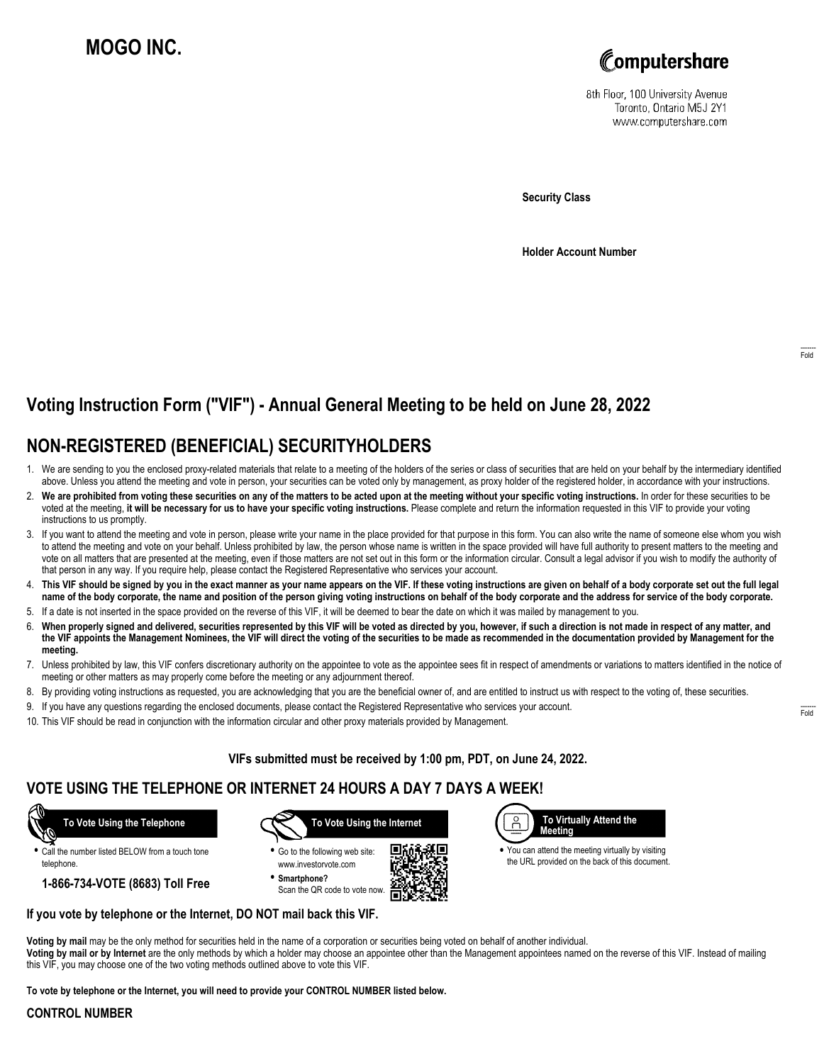# **MOGO INC.**



8th Floor, 100 University Avenue Toronto, Ontario M5J 2Y1 www.computershare.com

**Security Class**

**Holder Account Number**

## **Voting Instruction Form ("VIF") - Annual General Meeting to be held on June 28, 2022**

## **NON-REGISTERED (BENEFICIAL) SECURITYHOLDERS**

- 1. We are sending to you the enclosed proxy-related materials that relate to a meeting of the holders of the series or class of securities that are held on your behalf by the intermediary identified above. Unless you attend the meeting and vote in person, your securities can be voted only by management, as proxy holder of the registered holder, in accordance with your instructions.
- 2. **We are prohibited from voting these securities on any of the matters to be acted upon at the meeting without your specific voting instructions.** In order for these securities to be voted at the meeting, **it will be necessary for us to have your specific voting instructions.** Please complete and return the information requested in this VIF to provide your voting instructions to us promptly.
- 3. If you want to attend the meeting and vote in person, please write your name in the place provided for that purpose in this form. You can also write the name of someone else whom you wish to attend the meeting and vote on your behalf. Unless prohibited by law, the person whose name is written in the space provided will have full authority to present matters to the meeting and vote on all matters that are presented at the meeting, even if those matters are not set out in this form or the information circular. Consult a legal advisor if you wish to modify the authority of that person in any way. If you require help, please contact the Registered Representative who services your account.
- 4. **This VIF should be signed by you in the exact manner as your name appears on the VIF. If these voting instructions are given on behalf of a body corporate set out the full legal name of the body corporate, the name and position of the person giving voting instructions on behalf of the body corporate and the address for service of the body corporate.**
- 5. If a date is not inserted in the space provided on the reverse of this VIF, it will be deemed to bear the date on which it was mailed by management to you.
- 6. **When properly signed and delivered, securities represented by this VIF will be voted as directed by you, however, if such a direction is not made in respect of any matter, and the VIF appoints the Management Nominees, the VIF will direct the voting of the securities to be made as recommended in the documentation provided by Management for the meeting.**
- 7. Unless prohibited by law, this VIF confers discretionary authority on the appointee to vote as the appointee sees fit in respect of amendments or variations to matters identified in the notice of meeting or other matters as may properly come before the meeting or any adjournment thereof.
- 8. By providing voting instructions as requested, you are acknowledging that you are the beneficial owner of, and are entitled to instruct us with respect to the voting of, these securities.
- 9. If you have any questions regarding the enclosed documents, please contact the Registered Representative who services your account.
- 10. This VIF should be read in conjunction with the information circular and other proxy materials provided by Management.

**VIFs submitted must be received by 1:00 pm, PDT, on June 24, 2022.**

### **VOTE USING THE TELEPHONE OR INTERNET 24 HOURS A DAY 7 DAYS A WEEK!**



**•** Call the number listed BELOW from a touch tone telephone.

**1-866-734-VOTE (8683) Toll Free**



**•** Go to the following web site: www.investorvote.com **• Smartphone?**

Scan the QR code to vote now.



 $\beta$  **To Virtually Attend the Meeting**

**•** You can attend the meeting virtually by visiting the URL provided on the back of this document.

#### **If you vote by telephone or the Internet, DO NOT mail back this VIF.**

**Voting by mail** may be the only method for securities held in the name of a corporation or securities being voted on behalf of another individual. **Voting by mail or by Internet** are the only methods by which a holder may choose an appointee other than the Management appointees named on the reverse of this VIF. Instead of mailing this VIF, you may choose one of the two voting methods outlined above to vote this VIF.

**To vote by telephone or the Internet, you will need to provide your CONTROL NUMBER listed below.**

#### **CONTROL NUMBER**